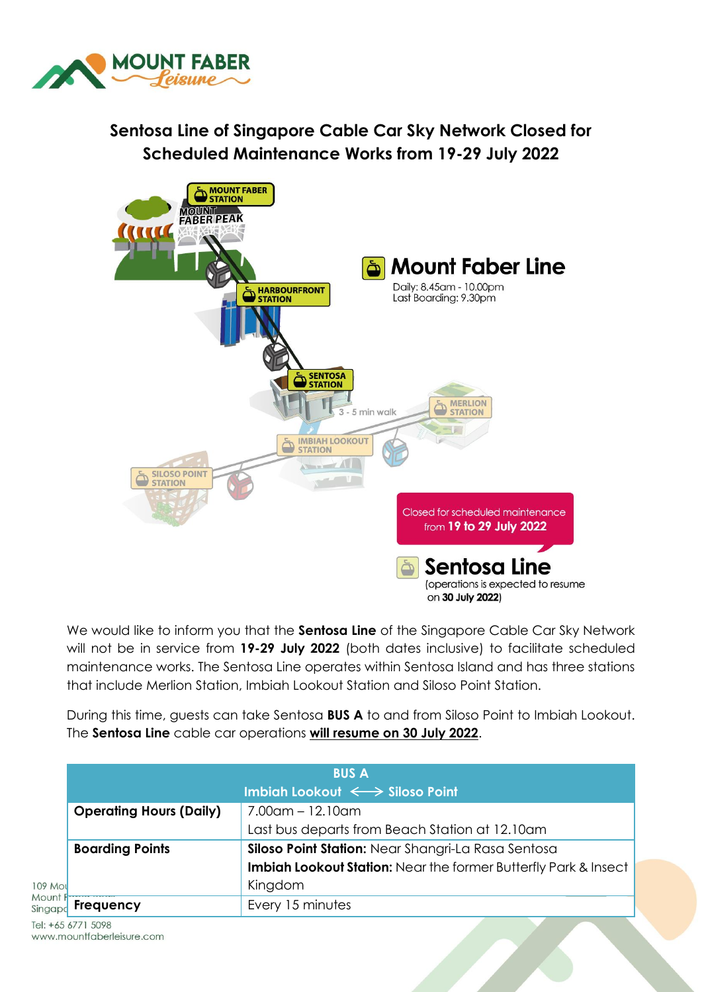

## **Sentosa Line of Singapore Cable Car Sky Network Closed for Scheduled Maintenance Works from 19-29 July 2022**



We would like to inform you that the **Sentosa Line** of the Singapore Cable Car Sky Network will not be in service from **19-29 July 2022** (both dates inclusive) to facilitate scheduled maintenance works. The Sentosa Line operates within Sentosa Island and has three stations that include Merlion Station, Imbiah Lookout Station and Siloso Point Station.

During this time, guests can take Sentosa **BUS A** to and from Siloso Point to Imbiah Lookout. The **Sentosa Line** cable car operations **will resume on 30 July 2022**.

|                               | <b>BUS A</b><br>Imbiah Lookout $\iff$ Siloso Point                           |                                                                 |  |
|-------------------------------|------------------------------------------------------------------------------|-----------------------------------------------------------------|--|
|                               | <b>Operating Hours (Daily)</b>                                               | $7.00$ am – 12.10am                                             |  |
|                               |                                                                              | Last bus departs from Beach Station at 12.10am                  |  |
|                               | Siloso Point Station: Near Shangri-La Rasa Sentosa<br><b>Boarding Points</b> |                                                                 |  |
|                               |                                                                              | Imbiah Lookout Station: Near the former Butterfly Park & Insect |  |
| 109 Mol<br>Mount F<br>Singapo |                                                                              | Kingdom                                                         |  |
|                               | <b>Frequency</b>                                                             | Every 15 minutes                                                |  |

Tel: +65 6771 5098 www.mountfaberleisure.com